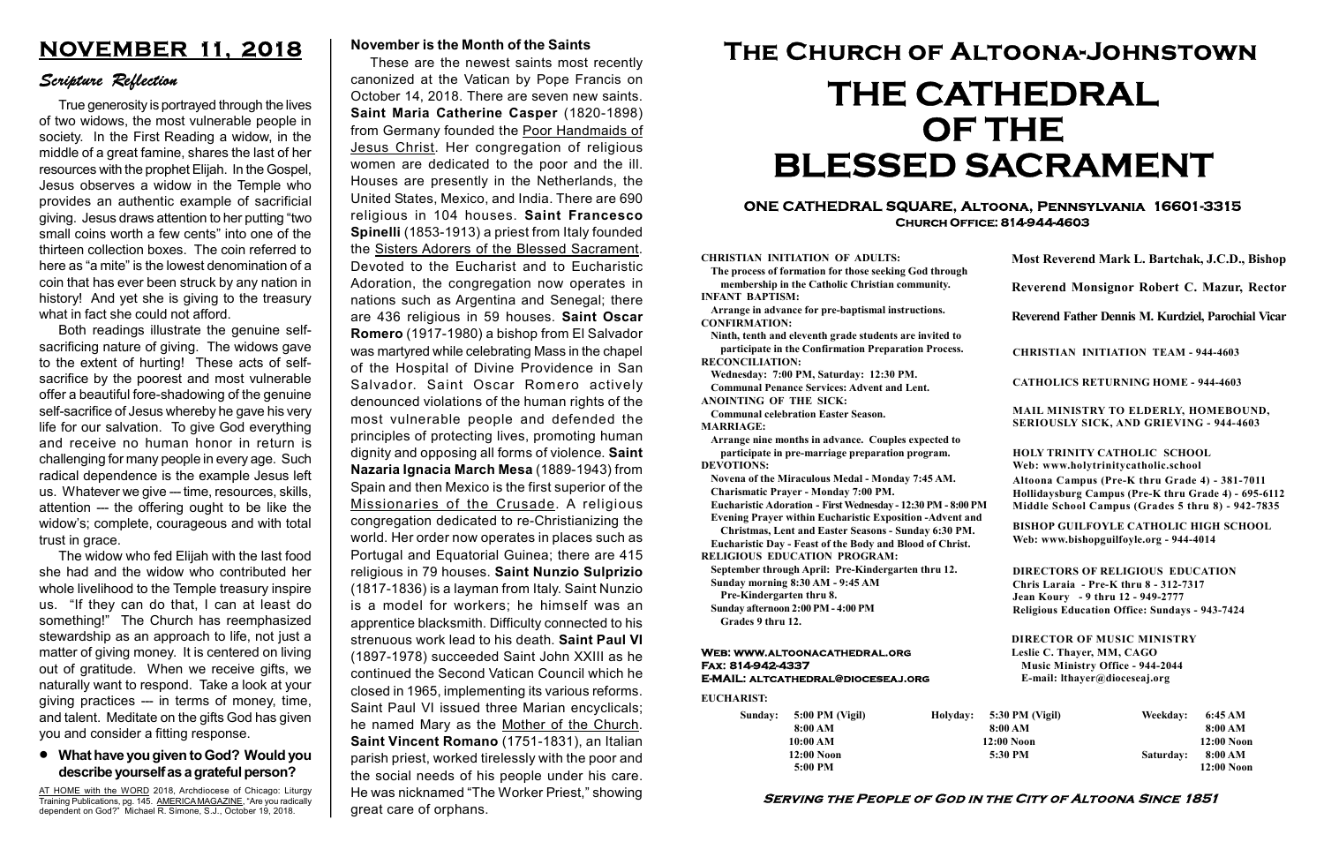#### Serving the People of God in the City of Altoona Since 1851

Sunday: 5:00 PM (Vigil) 8:00 AM 10:00 AM 12:00 Noon 5:00 PM

Holyday:

#### Web: www.altoonacathedral.org Fax: 814-942-4337 E-MAIL: altcathedral@dioceseaj.org

EUCHARIST:

#### CHRISTIAN INITIATION OF ADULTS:

The process of formation for those seeking God through membership in the Catholic Christian community. INFANT BAPTISM:

Arrange in advance for pre-baptismal instructions. CONFIRMATION:

Ninth, tenth and eleventh grade students are invited to participate in the Confirmation Preparation Process. RECONCILIATION:

Wednesday: 7:00 PM, Saturday: 12:30 PM. Communal Penance Services: Advent and Lent. ANOINTING OF THE SICK:

Communal celebration Easter Season. MARRIAGE:

Arrange nine months in advance. Couples expected to participate in pre-marriage preparation program. DEVOTIONS:

Novena of the Miraculous Medal - Monday 7:45 AM. Charismatic Prayer - Monday 7:00 PM.

Eucharistic Adoration - First Wednesday - 12:30 PM - 8:00 PM

Evening Prayer within Eucharistic Exposition -Advent and

Christmas, Lent and Easter Seasons - Sunday 6:30 PM. Eucharistic Day - Feast of the Body and Blood of Christ.

|                         | Most Reverend Mark L. Bartchak, J.C.D., Bishop<br>Reverend Monsignor Robert C. Mazur, Rector                                                                                    |           |                         |
|-------------------------|---------------------------------------------------------------------------------------------------------------------------------------------------------------------------------|-----------|-------------------------|
|                         |                                                                                                                                                                                 |           |                         |
|                         | Reverend Father Dennis M. Kurdziel, Parochial Vicar                                                                                                                             |           |                         |
|                         | <b>CHRISTIAN INITIATION TEAM - 944-4603</b>                                                                                                                                     |           |                         |
|                         | <b>CATHOLICS RETURNING HOME - 944-4603</b>                                                                                                                                      |           |                         |
|                         | MAIL MINISTRY TO ELDERLY, HOMEBOUND,<br><b>SERIOUSLY SICK, AND GRIEVING - 944-4603</b>                                                                                          |           |                         |
|                         | <b>HOLY TRINITY CATHOLIC SCHOOL</b><br>Web: www.holytrinitycatholic.school                                                                                                      |           |                         |
| М                       | Altoona Campus (Pre-K thru Grade 4) - 381-7011<br>Hollidaysburg Campus (Pre-K thru Grade 4) - 695-6112<br>Middle School Campus (Grades 5 thru 8) - 942-7835                     |           |                         |
| ł                       | <b>BISHOP GUILFOYLE CATHOLIC HIGH SCHOOL</b><br>Web: www.bishopguilfoyle.org - 944-4014                                                                                         |           |                         |
|                         | <b>DIRECTORS OF RELIGIOUS EDUCATION</b><br>Chris Laraia - Pre-K thru 8 - 312-7317<br>Jean Koury - 9 thru 12 - 949-2777<br><b>Religious Education Office: Sundays - 943-7424</b> |           |                         |
|                         | <b>DIRECTOR OF MUSIC MINISTRY</b><br>Leslie C. Thayer, MM, CAGO<br><b>Music Ministry Office - 944-2044</b><br>E-mail: lthayer@dioceseaj.org                                     |           |                         |
| 5:30 PM (Vigil)         |                                                                                                                                                                                 | Weekday:  | 6:45 AM                 |
| 8:00 AM<br>$12:00$ Noon |                                                                                                                                                                                 |           | 8:00 AM<br>12:00 Noon   |
|                         | 5:30 PM                                                                                                                                                                         | Saturday: | 8:00 AM<br>$12:00$ Noon |
|                         |                                                                                                                                                                                 |           |                         |

RELIGIOUS EDUCATION PROGRAM:

September through April: Pre-Kindergarten thru 12. Sunday morning 8:30 AM - 9:45 AM

Pre-Kindergarten thru 8.

Sunday afternoon 2:00 PM - 4:00 PM Grades 9 thru 12.

### ONE CATHEDRAL SQUARE, Altoona, Pennsylvania 16601-3315 Church Office: 814-944-4603

# The Church of Altoona-Johnstown THE CATHEDRAL OF THE BLESSED SACRAMENT

# What have you given to God? Would you describe yourself as a grateful person?

# NOVEMBER 11, 2018

# Scripture Reflection

True generosity is portrayed through the lives of two widows, the most vulnerable people in society. In the First Reading a widow, in the middle of a great famine, shares the last of her resources with the prophet Elijah. In the Gospel, Jesus observes a widow in the Temple who provides an authentic example of sacrificial giving. Jesus draws attention to her putting "two small coins worth a few cents" into one of the thirteen collection boxes. The coin referred to here as "a mite" is the lowest denomination of a coin that has ever been struck by any nation in history! And yet she is giving to the treasury what in fact she could not afford.

Both readings illustrate the genuine selfsacrificing nature of giving. The widows gave to the extent of hurting! These acts of selfsacrifice by the poorest and most vulnerable offer a beautiful fore-shadowing of the genuine self-sacrifice of Jesus whereby he gave his very life for our salvation. To give God everything and receive no human honor in return is challenging for many people in every age. Such radical dependence is the example Jesus left us. Whatever we give --- time, resources, skills, attention --- the offering ought to be like the widow's; complete, courageous and with total trust in grace.

The widow who fed Elijah with the last food she had and the widow who contributed her whole livelihood to the Temple treasury inspire us. "If they can do that, I can at least do something!" The Church has reemphasized stewardship as an approach to life, not just a matter of giving money. It is centered on living out of gratitude. When we receive gifts, we naturally want to respond. Take a look at your giving practices --- in terms of money, time, and talent. Meditate on the gifts God has given you and consider a fitting response.

AT HOME with the WORD 2018, Archdiocese of Chicago: Liturgy Training Publications, pg. 145. AMERICA MAGAZINE, "Are you radically dependent on God?" Michael R. Simone, S.J., October 19, 2018.

#### November is the Month of the Saints

These are the newest saints most recently canonized at the Vatican by Pope Francis on October 14, 2018. There are seven new saints. Saint Maria Catherine Casper (1820-1898) from Germany founded the Poor Handmaids of Jesus Christ. Her congregation of religious women are dedicated to the poor and the ill. Houses are presently in the Netherlands, the United States, Mexico, and India. There are 690 religious in 104 houses. Saint Francesco Spinelli (1853-1913) a priest from Italy founded the Sisters Adorers of the Blessed Sacrament. Devoted to the Eucharist and to Eucharistic Adoration, the congregation now operates in nations such as Argentina and Senegal; there are 436 religious in 59 houses. Saint Oscar Romero (1917-1980) a bishop from El Salvador was martyred while celebrating Mass in the chapel of the Hospital of Divine Providence in San Salvador. Saint Oscar Romero actively denounced violations of the human rights of the most vulnerable people and defended the principles of protecting lives, promoting human dignity and opposing all forms of violence. Saint Nazaria Ignacia March Mesa (1889-1943) from Spain and then Mexico is the first superior of the Missionaries of the Crusade. A religious congregation dedicated to re-Christianizing the world. Her order now operates in places such as Portugal and Equatorial Guinea; there are 415 religious in 79 houses. Saint Nunzio Sulprizio (1817-1836) is a layman from Italy. Saint Nunzio is a model for workers; he himself was an apprentice blacksmith. Difficulty connected to his strenuous work lead to his death. Saint Paul VI (1897-1978) succeeded Saint John XXIII as he continued the Second Vatican Council which he closed in 1965, implementing its various reforms. Saint Paul VI issued three Marian encyclicals; he named Mary as the Mother of the Church. Saint Vincent Romano (1751-1831), an Italian parish priest, worked tirelessly with the poor and the social needs of his people under his care. He was nicknamed "The Worker Priest," showing great care of orphans.